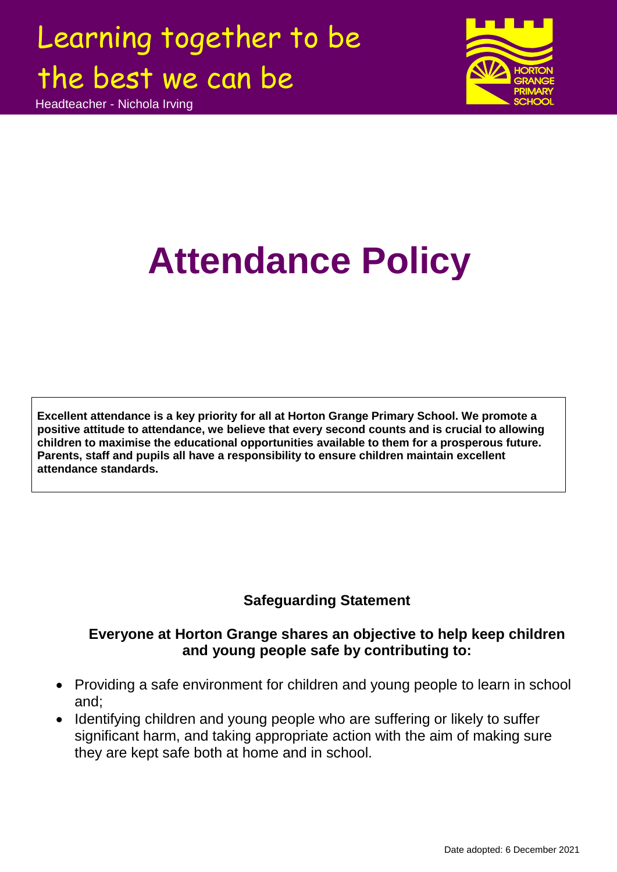Headteacher - Nichola Irving



# **Attendance Policy**

**Excellent attendance is a key priority for all at Horton Grange Primary School. We promote a positive attitude to attendance, we believe that every second counts and is crucial to allowing children to maximise the educational opportunities available to them for a prosperous future. Parents, staff and pupils all have a responsibility to ensure children maintain excellent attendance standards.**

### **Safeguarding Statement**

### **Everyone at Horton Grange shares an objective to help keep children and young people safe by contributing to:**

- Providing a safe environment for children and young people to learn in school and;
- Identifying children and young people who are suffering or likely to suffer significant harm, and taking appropriate action with the aim of making sure they are kept safe both at home and in school.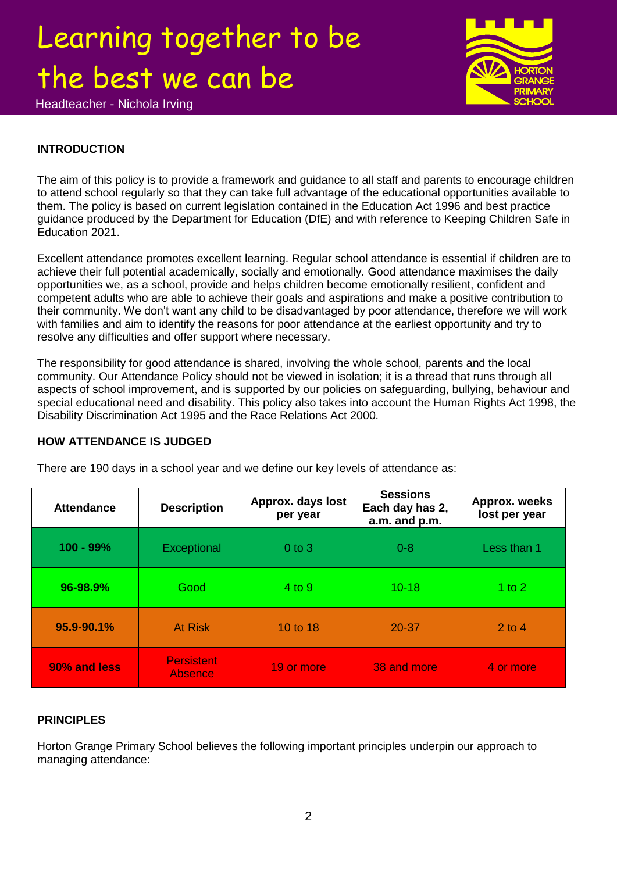Headteacher - Nichola Irving



### **INTRODUCTION**

The aim of this policy is to provide a framework and guidance to all staff and parents to encourage children to attend school regularly so that they can take full advantage of the educational opportunities available to them. The policy is based on current legislation contained in the Education Act 1996 and best practice guidance produced by the Department for Education (DfE) and with reference to Keeping Children Safe in Education 2021.

Excellent attendance promotes excellent learning. Regular school attendance is essential if children are to achieve their full potential academically, socially and emotionally. Good attendance maximises the daily opportunities we, as a school, provide and helps children become emotionally resilient, confident and competent adults who are able to achieve their goals and aspirations and make a positive contribution to their community. We don't want any child to be disadvantaged by poor attendance, therefore we will work with families and aim to identify the reasons for poor attendance at the earliest opportunity and try to resolve any difficulties and offer support where necessary.

The responsibility for good attendance is shared, involving the whole school, parents and the local community. Our Attendance Policy should not be viewed in isolation; it is a thread that runs through all aspects of school improvement, and is supported by our policies on safeguarding, bullying, behaviour and special educational need and disability. This policy also takes into account the Human Rights Act 1998, the Disability Discrimination Act 1995 and the Race Relations Act 2000.

### **HOW ATTENDANCE IS JUDGED**

| <b>Attendance</b> | <b>Description</b>           | Approx. days lost<br>per year | <b>Sessions</b><br>Each day has 2,<br>a.m. and p.m. | Approx. weeks<br>lost per year |
|-------------------|------------------------------|-------------------------------|-----------------------------------------------------|--------------------------------|
| $100 - 99%$       | Exceptional                  | $0$ to $3$                    | $0 - 8$                                             | Less than 1                    |
| 96-98.9%          | Good                         | 4 to 9                        | $10 - 18$                                           | 1 to 2                         |
| 95.9-90.1%        | <b>At Risk</b>               | 10 to 18                      | $20 - 37$                                           | $2$ to 4                       |
| 90% and less      | <b>Persistent</b><br>Absence | 19 or more                    | 38 and more                                         | 4 or more                      |

There are 190 days in a school year and we define our key levels of attendance as:

### **PRINCIPLES**

Horton Grange Primary School believes the following important principles underpin our approach to managing attendance: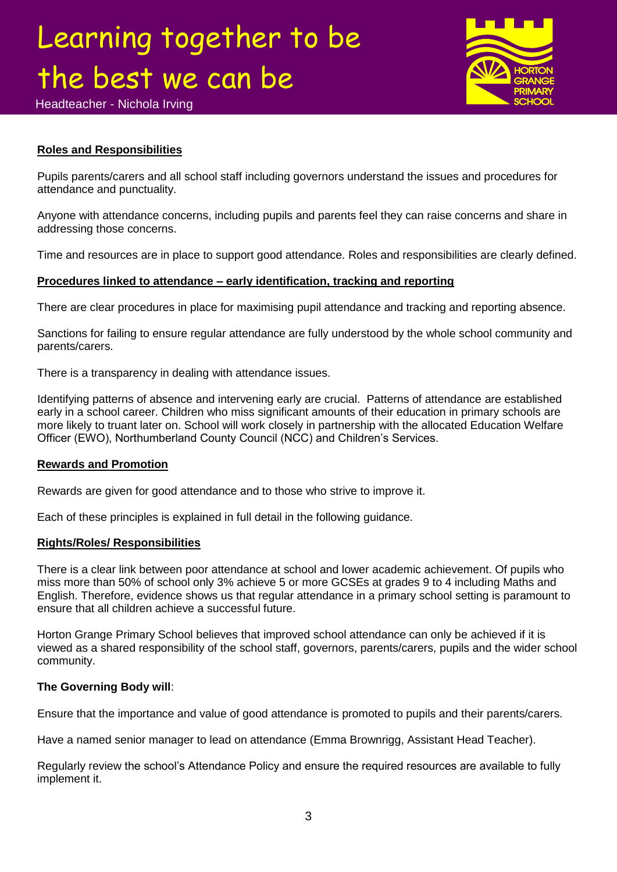

Headteacher - Nichola Irving

### **Roles and Responsibilities**

Pupils parents/carers and all school staff including governors understand the issues and procedures for attendance and punctuality.

Anyone with attendance concerns, including pupils and parents feel they can raise concerns and share in addressing those concerns.

Time and resources are in place to support good attendance. Roles and responsibilities are clearly defined.

### **Procedures linked to attendance – early identification, tracking and reporting**

There are clear procedures in place for maximising pupil attendance and tracking and reporting absence.

Sanctions for failing to ensure regular attendance are fully understood by the whole school community and parents/carers.

There is a transparency in dealing with attendance issues.

Identifying patterns of absence and intervening early are crucial. Patterns of attendance are established early in a school career. Children who miss significant amounts of their education in primary schools are more likely to truant later on. School will work closely in partnership with the allocated Education Welfare Officer (EWO), Northumberland County Council (NCC) and Children's Services.

### **Rewards and Promotion**

Rewards are given for good attendance and to those who strive to improve it.

Each of these principles is explained in full detail in the following guidance.

### **Rights/Roles/ Responsibilities**

There is a clear link between poor attendance at school and lower academic achievement. Of pupils who miss more than 50% of school only 3% achieve 5 or more GCSEs at grades 9 to 4 including Maths and English. Therefore, evidence shows us that regular attendance in a primary school setting is paramount to ensure that all children achieve a successful future.

Horton Grange Primary School believes that improved school attendance can only be achieved if it is viewed as a shared responsibility of the school staff, governors, parents/carers, pupils and the wider school community.

### **The Governing Body will**:

Ensure that the importance and value of good attendance is promoted to pupils and their parents/carers.

Have a named senior manager to lead on attendance (Emma Brownrigg, Assistant Head Teacher).

Regularly review the school's Attendance Policy and ensure the required resources are available to fully implement it.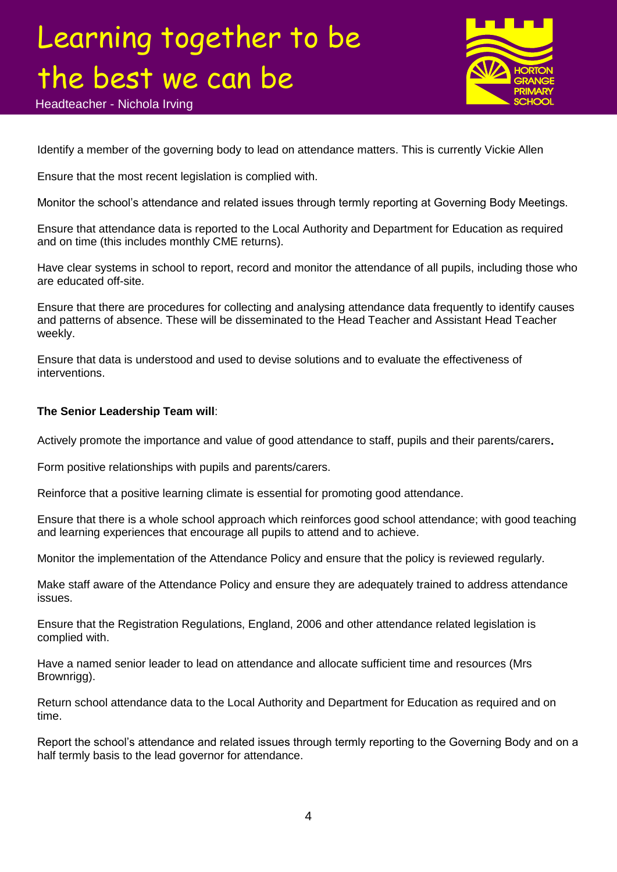Headteacher - Nichola Irving



Identify a member of the governing body to lead on attendance matters. This is currently Vickie Allen

Ensure that the most recent legislation is complied with.

Monitor the school's attendance and related issues through termly reporting at Governing Body Meetings.

Ensure that attendance data is reported to the Local Authority and Department for Education as required and on time (this includes monthly CME returns).

Have clear systems in school to report, record and monitor the attendance of all pupils, including those who are educated off-site.

Ensure that there are procedures for collecting and analysing attendance data frequently to identify causes and patterns of absence. These will be disseminated to the Head Teacher and Assistant Head Teacher weekly.

Ensure that data is understood and used to devise solutions and to evaluate the effectiveness of interventions.

#### **The Senior Leadership Team will**:

Actively promote the importance and value of good attendance to staff, pupils and their parents/carers**.** 

Form positive relationships with pupils and parents/carers.

Reinforce that a positive learning climate is essential for promoting good attendance.

Ensure that there is a whole school approach which reinforces good school attendance; with good teaching and learning experiences that encourage all pupils to attend and to achieve.

Monitor the implementation of the Attendance Policy and ensure that the policy is reviewed regularly.

Make staff aware of the Attendance Policy and ensure they are adequately trained to address attendance issues.

Ensure that the Registration Regulations, England, 2006 and other attendance related legislation is complied with.

Have a named senior leader to lead on attendance and allocate sufficient time and resources (Mrs Brownrigg).

Return school attendance data to the Local Authority and Department for Education as required and on time.

Report the school's attendance and related issues through termly reporting to the Governing Body and on a half termly basis to the lead governor for attendance.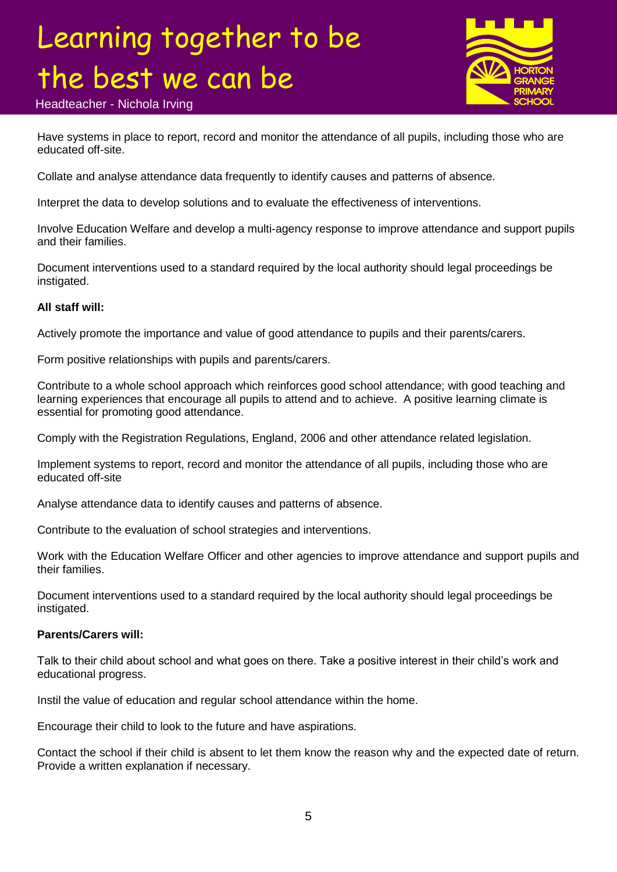

Headteacher - Nichola Irving

Have systems in place to report, record and monitor the attendance of all pupils, including those who are educated off-site.

Collate and analyse attendance data frequently to identify causes and patterns of absence.

Interpret the data to develop solutions and to evaluate the effectiveness of interventions.

Involve Education Welfare and develop a multi-agency response to improve attendance and support pupils and their families.

Document interventions used to a standard required by the local authority should legal proceedings be instigated.

#### **All staff will:**

Actively promote the importance and value of good attendance to pupils and their parents/carers.

Form positive relationships with pupils and parents/carers.

Contribute to a whole school approach which reinforces good school attendance; with good teaching and learning experiences that encourage all pupils to attend and to achieve. A positive learning climate is essential for promoting good attendance.

Comply with the Registration Regulations, England, 2006 and other attendance related legislation.

Implement systems to report, record and monitor the attendance of all pupils, including those who are educated off-site

Analyse attendance data to identify causes and patterns of absence.

Contribute to the evaluation of school strategies and interventions.

Work with the Education Welfare Officer and other agencies to improve attendance and support pupils and their families.

Document interventions used to a standard required by the local authority should legal proceedings be instigated.

#### **Parents/Carers will:**

Talk to their child about school and what goes on there. Take a positive interest in their child's work and educational progress.

Instil the value of education and regular school attendance within the home.

Encourage their child to look to the future and have aspirations.

Contact the school if their child is absent to let them know the reason why and the expected date of return. Provide a written explanation if necessary.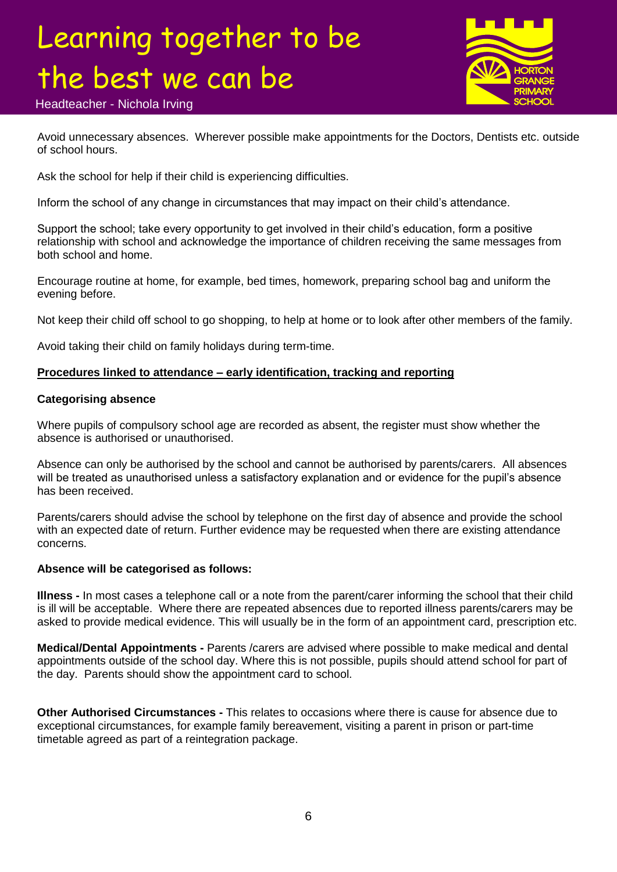

Headteacher - Nichola Irving

Avoid unnecessary absences. Wherever possible make appointments for the Doctors, Dentists etc. outside of school hours.

Ask the school for help if their child is experiencing difficulties.

Inform the school of any change in circumstances that may impact on their child's attendance.

Support the school; take every opportunity to get involved in their child's education, form a positive relationship with school and acknowledge the importance of children receiving the same messages from both school and home.

Encourage routine at home, for example, bed times, homework, preparing school bag and uniform the evening before.

Not keep their child off school to go shopping, to help at home or to look after other members of the family.

Avoid taking their child on family holidays during term-time.

### **Procedures linked to attendance – early identification, tracking and reporting**

#### **Categorising absence**

Where pupils of compulsory school age are recorded as absent, the register must show whether the absence is authorised or unauthorised.

Absence can only be authorised by the school and cannot be authorised by parents/carers. All absences will be treated as unauthorised unless a satisfactory explanation and or evidence for the pupil's absence has been received.

Parents/carers should advise the school by telephone on the first day of absence and provide the school with an expected date of return. Further evidence may be requested when there are existing attendance concerns.

#### **Absence will be categorised as follows:**

**Illness -** In most cases a telephone call or a note from the parent/carer informing the school that their child is ill will be acceptable. Where there are repeated absences due to reported illness parents/carers may be asked to provide medical evidence. This will usually be in the form of an appointment card, prescription etc.

**Medical/Dental Appointments -** Parents /carers are advised where possible to make medical and dental appointments outside of the school day. Where this is not possible, pupils should attend school for part of the day. Parents should show the appointment card to school.

**Other Authorised Circumstances -** This relates to occasions where there is cause for absence due to exceptional circumstances, for example family bereavement, visiting a parent in prison or part-time timetable agreed as part of a reintegration package.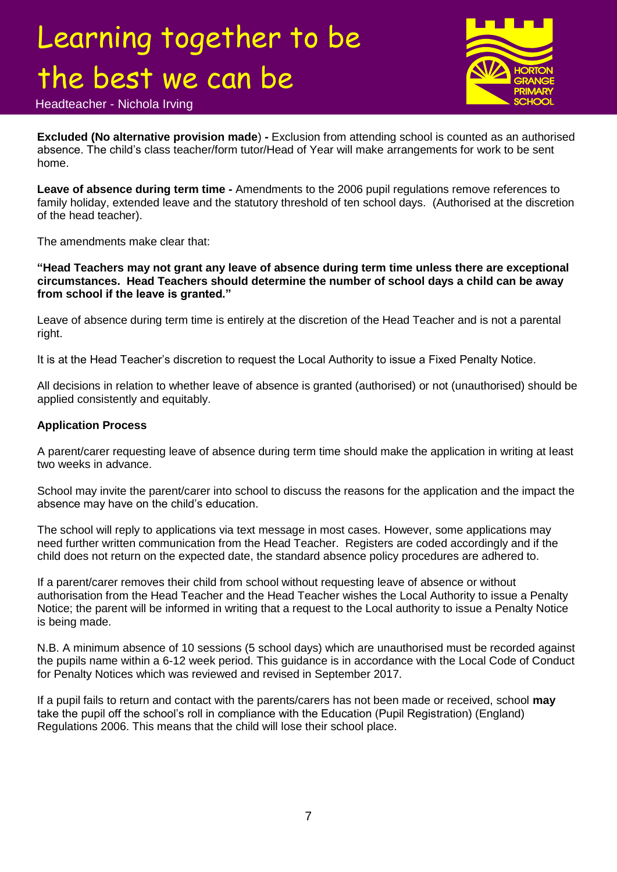

### Headteacher - Nichola Irving

**Excluded (No alternative provision made**) **-** Exclusion from attending school is counted as an authorised absence. The child's class teacher/form tutor/Head of Year will make arrangements for work to be sent home.

**Leave of absence during term time -** Amendments to the 2006 pupil regulations remove references to family holiday, extended leave and the statutory threshold of ten school days. (Authorised at the discretion of the head teacher).

The amendments make clear that:

**"Head Teachers may not grant any leave of absence during term time unless there are exceptional circumstances. Head Teachers should determine the number of school days a child can be away from school if the leave is granted."**

Leave of absence during term time is entirely at the discretion of the Head Teacher and is not a parental right.

It is at the Head Teacher's discretion to request the Local Authority to issue a Fixed Penalty Notice.

All decisions in relation to whether leave of absence is granted (authorised) or not (unauthorised) should be applied consistently and equitably.

#### **Application Process**

A parent/carer requesting leave of absence during term time should make the application in writing at least two weeks in advance.

School may invite the parent/carer into school to discuss the reasons for the application and the impact the absence may have on the child's education.

The school will reply to applications via text message in most cases. However, some applications may need further written communication from the Head Teacher. Registers are coded accordingly and if the child does not return on the expected date, the standard absence policy procedures are adhered to.

If a parent/carer removes their child from school without requesting leave of absence or without authorisation from the Head Teacher and the Head Teacher wishes the Local Authority to issue a Penalty Notice; the parent will be informed in writing that a request to the Local authority to issue a Penalty Notice is being made.

N.B. A minimum absence of 10 sessions (5 school days) which are unauthorised must be recorded against the pupils name within a 6-12 week period. This guidance is in accordance with the Local Code of Conduct for Penalty Notices which was reviewed and revised in September 2017.

If a pupil fails to return and contact with the parents/carers has not been made or received, school **may** take the pupil off the school's roll in compliance with the Education (Pupil Registration) (England) Regulations 2006. This means that the child will lose their school place.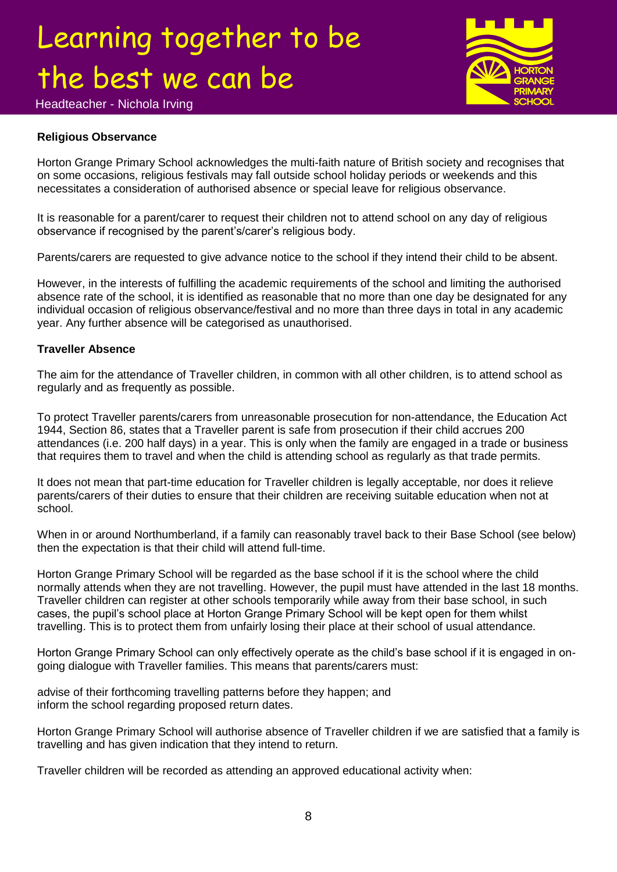

Headteacher - Nichola Irving

### **Religious Observance**

Horton Grange Primary School acknowledges the multi-faith nature of British society and recognises that on some occasions, religious festivals may fall outside school holiday periods or weekends and this necessitates a consideration of authorised absence or special leave for religious observance.

It is reasonable for a parent/carer to request their children not to attend school on any day of religious observance if recognised by the parent's/carer's religious body.

Parents/carers are requested to give advance notice to the school if they intend their child to be absent.

However, in the interests of fulfilling the academic requirements of the school and limiting the authorised absence rate of the school, it is identified as reasonable that no more than one day be designated for any individual occasion of religious observance/festival and no more than three days in total in any academic year. Any further absence will be categorised as unauthorised.

### **Traveller Absence**

The aim for the attendance of Traveller children, in common with all other children, is to attend school as regularly and as frequently as possible.

To protect Traveller parents/carers from unreasonable prosecution for non-attendance, the Education Act 1944, Section 86, states that a Traveller parent is safe from prosecution if their child accrues 200 attendances (i.e. 200 half days) in a year. This is only when the family are engaged in a trade or business that requires them to travel and when the child is attending school as regularly as that trade permits.

It does not mean that part-time education for Traveller children is legally acceptable, nor does it relieve parents/carers of their duties to ensure that their children are receiving suitable education when not at school.

When in or around Northumberland, if a family can reasonably travel back to their Base School (see below) then the expectation is that their child will attend full-time.

Horton Grange Primary School will be regarded as the base school if it is the school where the child normally attends when they are not travelling. However, the pupil must have attended in the last 18 months. Traveller children can register at other schools temporarily while away from their base school, in such cases, the pupil's school place at Horton Grange Primary School will be kept open for them whilst travelling. This is to protect them from unfairly losing their place at their school of usual attendance.

Horton Grange Primary School can only effectively operate as the child's base school if it is engaged in ongoing dialogue with Traveller families. This means that parents/carers must:

advise of their forthcoming travelling patterns before they happen; and inform the school regarding proposed return dates.

Horton Grange Primary School will authorise absence of Traveller children if we are satisfied that a family is travelling and has given indication that they intend to return.

Traveller children will be recorded as attending an approved educational activity when: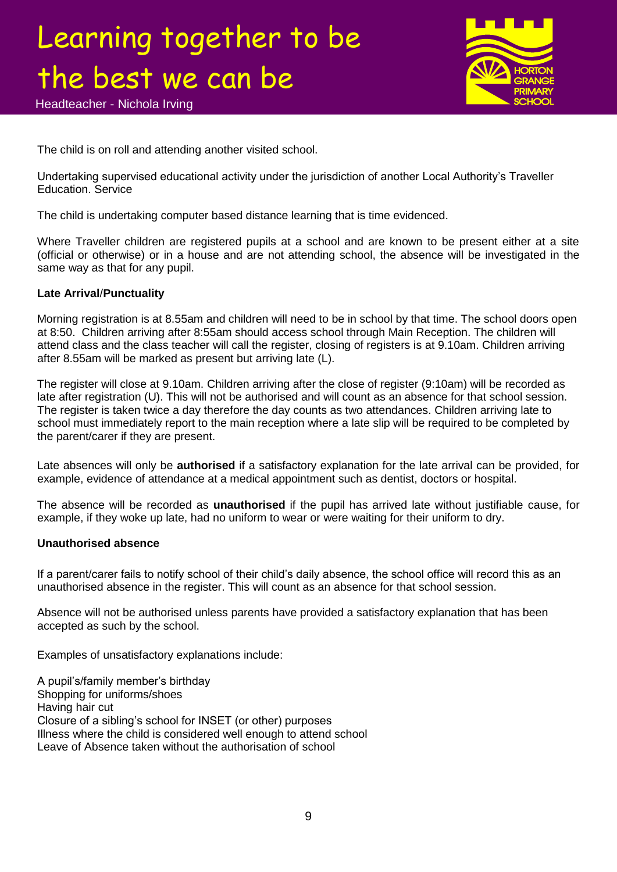Headteacher - Nichola Irving



The child is on roll and attending another visited school.

Undertaking supervised educational activity under the jurisdiction of another Local Authority's Traveller Education. Service

The child is undertaking computer based distance learning that is time evidenced.

Where Traveller children are registered pupils at a school and are known to be present either at a site (official or otherwise) or in a house and are not attending school, the absence will be investigated in the same way as that for any pupil.

### **Late Arrival**/**Punctuality**

Morning registration is at 8.55am and children will need to be in school by that time. The school doors open at 8:50. Children arriving after 8:55am should access school through Main Reception. The children will attend class and the class teacher will call the register, closing of registers is at 9.10am. Children arriving after 8.55am will be marked as present but arriving late (L).

The register will close at 9.10am. Children arriving after the close of register (9:10am) will be recorded as late after registration (U). This will not be authorised and will count as an absence for that school session. The register is taken twice a day therefore the day counts as two attendances. Children arriving late to school must immediately report to the main reception where a late slip will be required to be completed by the parent/carer if they are present.

Late absences will only be **authorised** if a satisfactory explanation for the late arrival can be provided, for example, evidence of attendance at a medical appointment such as dentist, doctors or hospital.

The absence will be recorded as **unauthorised** if the pupil has arrived late without justifiable cause, for example, if they woke up late, had no uniform to wear or were waiting for their uniform to dry.

### **Unauthorised absence**

If a parent/carer fails to notify school of their child's daily absence, the school office will record this as an unauthorised absence in the register. This will count as an absence for that school session.

Absence will not be authorised unless parents have provided a satisfactory explanation that has been accepted as such by the school.

Examples of unsatisfactory explanations include:

A pupil's/family member's birthday Shopping for uniforms/shoes Having hair cut Closure of a sibling's school for INSET (or other) purposes Illness where the child is considered well enough to attend school Leave of Absence taken without the authorisation of school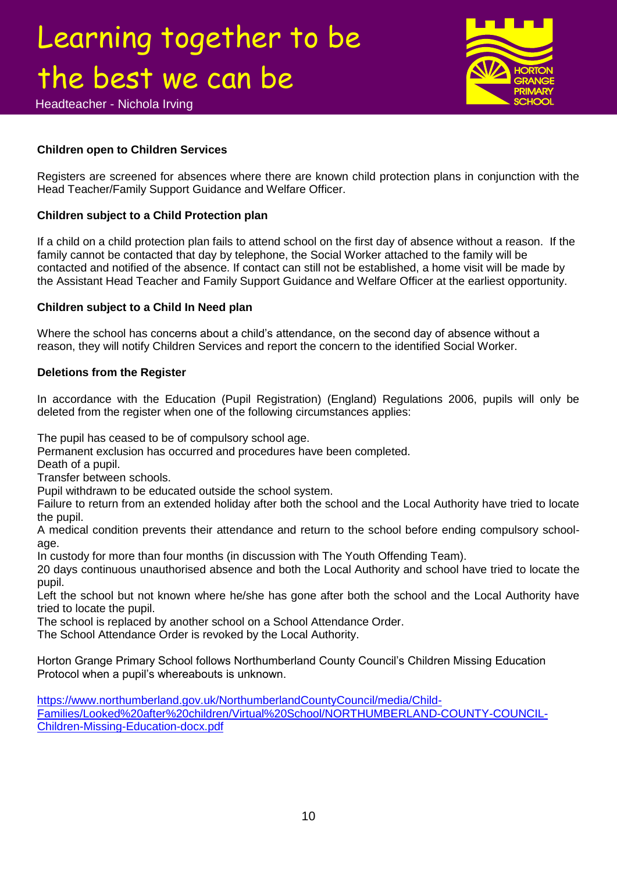

### **Children open to Children Services**

Registers are screened for absences where there are known child protection plans in conjunction with the Head Teacher/Family Support Guidance and Welfare Officer.

### **Children subject to a Child Protection plan**

If a child on a child protection plan fails to attend school on the first day of absence without a reason. If the family cannot be contacted that day by telephone, the Social Worker attached to the family will be contacted and notified of the absence. If contact can still not be established, a home visit will be made by the Assistant Head Teacher and Family Support Guidance and Welfare Officer at the earliest opportunity.

### **Children subject to a Child In Need plan**

Where the school has concerns about a child's attendance, on the second day of absence without a reason, they will notify Children Services and report the concern to the identified Social Worker.

### **Deletions from the Register**

In accordance with the Education (Pupil Registration) (England) Regulations 2006, pupils will only be deleted from the register when one of the following circumstances applies:

The pupil has ceased to be of compulsory school age.

Permanent exclusion has occurred and procedures have been completed.

Death of a pupil.

Transfer between schools.

Pupil withdrawn to be educated outside the school system.

Failure to return from an extended holiday after both the school and the Local Authority have tried to locate the pupil.

A medical condition prevents their attendance and return to the school before ending compulsory schoolage.

In custody for more than four months (in discussion with The Youth Offending Team).

20 days continuous unauthorised absence and both the Local Authority and school have tried to locate the pupil.

Left the school but not known where he/she has gone after both the school and the Local Authority have tried to locate the pupil.

The school is replaced by another school on a School Attendance Order.

The School Attendance Order is revoked by the Local Authority.

Horton Grange Primary School follows Northumberland County Council's Children Missing Education Protocol when a pupil's whereabouts is unknown.

[https://www.northumberland.gov.uk/NorthumberlandCountyCouncil/media/Child-](https://www.northumberland.gov.uk/NorthumberlandCountyCouncil/media/Child-Families/Looked%20after%20children/Virtual%20School/NORTHUMBERLAND-COUNTY-COUNCIL-Children-Missing-Education-docx.pdf)[Families/Looked%20after%20children/Virtual%20School/NORTHUMBERLAND-COUNTY-COUNCIL-](https://www.northumberland.gov.uk/NorthumberlandCountyCouncil/media/Child-Families/Looked%20after%20children/Virtual%20School/NORTHUMBERLAND-COUNTY-COUNCIL-Children-Missing-Education-docx.pdf)[Children-Missing-Education-docx.pdf](https://www.northumberland.gov.uk/NorthumberlandCountyCouncil/media/Child-Families/Looked%20after%20children/Virtual%20School/NORTHUMBERLAND-COUNTY-COUNCIL-Children-Missing-Education-docx.pdf)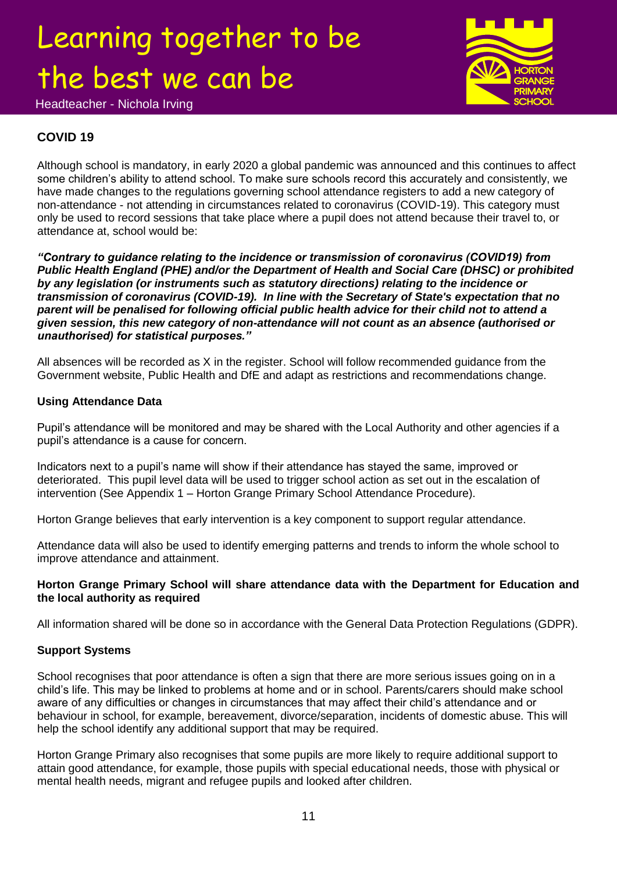Headteacher - Nichola Irving

### **COVID 19**

Although school is mandatory, in early 2020 a global pandemic was announced and this continues to affect some children's ability to attend school. To make sure schools record this accurately and consistently, we have made changes to the regulations governing school attendance registers to add a new category of non-attendance - not attending in circumstances related to coronavirus (COVID-19). This category must only be used to record sessions that take place where a pupil does not attend because their travel to, or attendance at, school would be:

*"Contrary to guidance relating to the incidence or transmission of coronavirus (COVID19) from Public Health England (PHE) and/or the Department of Health and Social Care (DHSC) or prohibited by any legislation (or instruments such as statutory directions) relating to the incidence or transmission of coronavirus (COVID-19). In line with the Secretary of State's expectation that no parent will be penalised for following official public health advice for their child not to attend a given session, this new category of non-attendance will not count as an absence (authorised or unauthorised) for statistical purposes."*

All absences will be recorded as X in the register. School will follow recommended guidance from the Government website, Public Health and DfE and adapt as restrictions and recommendations change.

### **Using Attendance Data**

Pupil's attendance will be monitored and may be shared with the Local Authority and other agencies if a pupil's attendance is a cause for concern.

Indicators next to a pupil's name will show if their attendance has stayed the same, improved or deteriorated. This pupil level data will be used to trigger school action as set out in the escalation of intervention (See Appendix 1 – Horton Grange Primary School Attendance Procedure).

Horton Grange believes that early intervention is a key component to support regular attendance.

Attendance data will also be used to identify emerging patterns and trends to inform the whole school to improve attendance and attainment.

### **Horton Grange Primary School will share attendance data with the Department for Education and the local authority as required**

All information shared will be done so in accordance with the General Data Protection Regulations (GDPR).

### **Support Systems**

School recognises that poor attendance is often a sign that there are more serious issues going on in a child's life. This may be linked to problems at home and or in school. Parents/carers should make school aware of any difficulties or changes in circumstances that may affect their child's attendance and or behaviour in school, for example, bereavement, divorce/separation, incidents of domestic abuse. This will help the school identify any additional support that may be required.

Horton Grange Primary also recognises that some pupils are more likely to require additional support to attain good attendance, for example, those pupils with special educational needs, those with physical or mental health needs, migrant and refugee pupils and looked after children.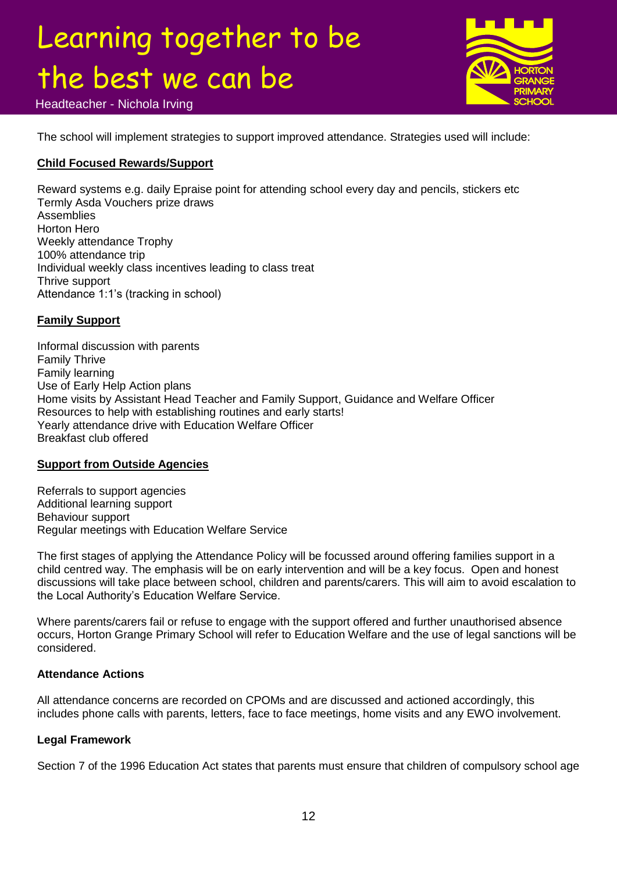

Headteacher - Nichola Irving

The school will implement strategies to support improved attendance. Strategies used will include:

### **Child Focused Rewards/Support**

Reward systems e.g. daily Epraise point for attending school every day and pencils, stickers etc Termly Asda Vouchers prize draws **Assemblies** Horton Hero Weekly attendance Trophy 100% attendance trip Individual weekly class incentives leading to class treat Thrive support Attendance 1:1's (tracking in school)

### **Family Support**

Informal discussion with parents Family Thrive Family learning Use of Early Help Action plans Home visits by Assistant Head Teacher and Family Support, Guidance and Welfare Officer Resources to help with establishing routines and early starts! Yearly attendance drive with Education Welfare Officer Breakfast club offered

### **Support from Outside Agencies**

Referrals to support agencies Additional learning support Behaviour support Regular meetings with Education Welfare Service

The first stages of applying the Attendance Policy will be focussed around offering families support in a child centred way. The emphasis will be on early intervention and will be a key focus. Open and honest discussions will take place between school, children and parents/carers. This will aim to avoid escalation to the Local Authority's Education Welfare Service.

Where parents/carers fail or refuse to engage with the support offered and further unauthorised absence occurs, Horton Grange Primary School will refer to Education Welfare and the use of legal sanctions will be considered.

### **Attendance Actions**

All attendance concerns are recorded on CPOMs and are discussed and actioned accordingly, this includes phone calls with parents, letters, face to face meetings, home visits and any EWO involvement.

### **Legal Framework**

Section 7 of the 1996 Education Act states that parents must ensure that children of compulsory school age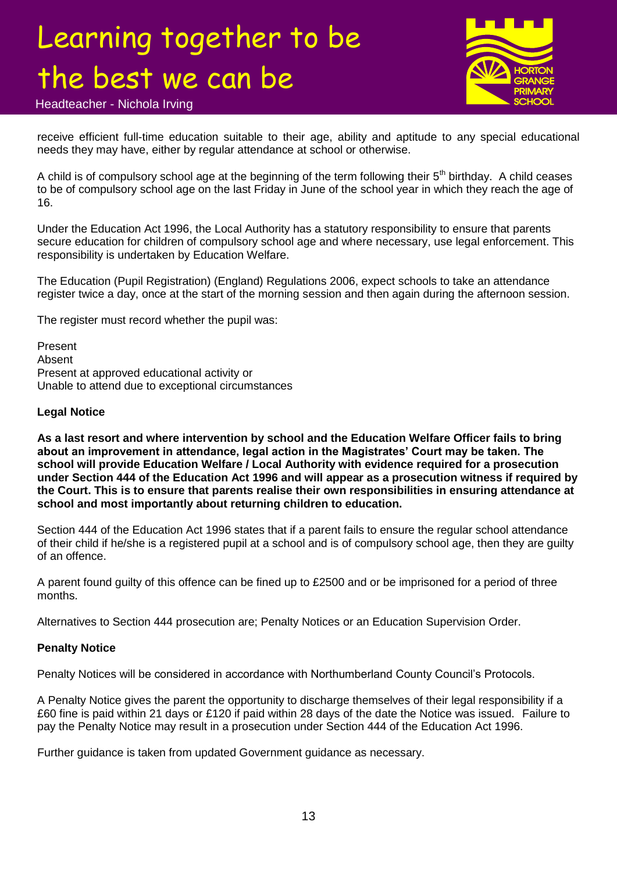

Headteacher - Nichola Irving

receive efficient full-time education suitable to their age, ability and aptitude to any special educational needs they may have, either by regular attendance at school or otherwise.

A child is of compulsory school age at the beginning of the term following their 5<sup>th</sup> birthday. A child ceases to be of compulsory school age on the last Friday in June of the school year in which they reach the age of 16.

Under the Education Act 1996, the Local Authority has a statutory responsibility to ensure that parents secure education for children of compulsory school age and where necessary, use legal enforcement. This responsibility is undertaken by Education Welfare.

The Education (Pupil Registration) (England) Regulations 2006, expect schools to take an attendance register twice a day, once at the start of the morning session and then again during the afternoon session.

The register must record whether the pupil was:

Present Absent Present at approved educational activity or Unable to attend due to exceptional circumstances

### **Legal Notice**

**As a last resort and where intervention by school and the Education Welfare Officer fails to bring about an improvement in attendance, legal action in the Magistrates' Court may be taken. The school will provide Education Welfare / Local Authority with evidence required for a prosecution under Section 444 of the Education Act 1996 and will appear as a prosecution witness if required by the Court. This is to ensure that parents realise their own responsibilities in ensuring attendance at school and most importantly about returning children to education.**

Section 444 of the Education Act 1996 states that if a parent fails to ensure the regular school attendance of their child if he/she is a registered pupil at a school and is of compulsory school age, then they are guilty of an offence.

A parent found guilty of this offence can be fined up to £2500 and or be imprisoned for a period of three months.

Alternatives to Section 444 prosecution are; Penalty Notices or an Education Supervision Order.

### **Penalty Notice**

Penalty Notices will be considered in accordance with Northumberland County Council's Protocols.

A Penalty Notice gives the parent the opportunity to discharge themselves of their legal responsibility if a £60 fine is paid within 21 days or £120 if paid within 28 days of the date the Notice was issued. Failure to pay the Penalty Notice may result in a prosecution under Section 444 of the Education Act 1996.

Further guidance is taken from updated Government guidance as necessary.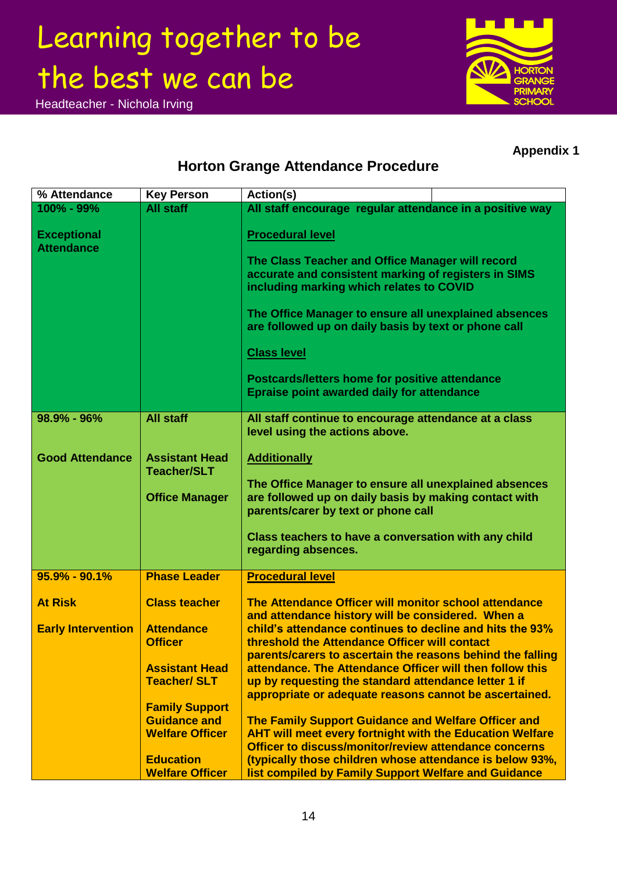Headteacher - Nichola Irving



### **Appendix 1**

### **Horton Grange Attendance Procedure**

| % Attendance                            | <b>Key Person</b>                             | Action(s)                                                                                                                                                                              |
|-----------------------------------------|-----------------------------------------------|----------------------------------------------------------------------------------------------------------------------------------------------------------------------------------------|
| 100% - 99%                              | <b>All staff</b>                              | All staff encourage regular attendance in a positive way                                                                                                                               |
| <b>Exceptional</b><br><b>Attendance</b> |                                               | <b>Procedural level</b>                                                                                                                                                                |
|                                         |                                               | The Class Teacher and Office Manager will record<br>accurate and consistent marking of registers in SIMS<br>including marking which relates to COVID                                   |
|                                         |                                               | The Office Manager to ensure all unexplained absences<br>are followed up on daily basis by text or phone call                                                                          |
|                                         |                                               | <b>Class level</b>                                                                                                                                                                     |
|                                         |                                               | <b>Postcards/letters home for positive attendance</b><br><b>Epraise point awarded daily for attendance</b>                                                                             |
| 98.9% - 96%                             | <b>All staff</b>                              | All staff continue to encourage attendance at a class<br>level using the actions above.                                                                                                |
| <b>Good Attendance</b>                  | <b>Assistant Head</b><br><b>Teacher/SLT</b>   | <b>Additionally</b>                                                                                                                                                                    |
|                                         | <b>Office Manager</b>                         | The Office Manager to ensure all unexplained absences<br>are followed up on daily basis by making contact with<br>parents/carer by text or phone call                                  |
|                                         |                                               | Class teachers to have a conversation with any child<br>regarding absences.                                                                                                            |
| $95.9\% - 90.1\%$                       | <b>Phase Leader</b>                           | <b>Procedural level</b>                                                                                                                                                                |
| <b>At Risk</b>                          | <b>Class teacher</b>                          | The Attendance Officer will monitor school attendance<br>and attendance history will be considered. When a                                                                             |
| <b>Early Intervention</b>               | <b>Attendance</b>                             | child's attendance continues to decline and hits the 93%                                                                                                                               |
|                                         | <b>Officer</b>                                | threshold the Attendance Officer will contact<br>parents/carers to ascertain the reasons behind the falling                                                                            |
|                                         | <b>Assistant Head</b><br><b>Teacher/SLT</b>   | attendance. The Attendance Officer will then follow this<br>up by requesting the standard attendance letter 1 if<br>appropriate or adequate reasons cannot be ascertained.             |
|                                         | <b>Family Support</b>                         |                                                                                                                                                                                        |
|                                         | <b>Guidance and</b><br><b>Welfare Officer</b> | <b>The Family Support Guidance and Welfare Officer and</b><br><b>AHT will meet every fortnight with the Education Welfare</b><br>Officer to discuss/monitor/review attendance concerns |
|                                         | <b>Education</b><br><b>Welfare Officer</b>    | (typically those children whose attendance is below 93%,<br>list compiled by Family Support Welfare and Guidance                                                                       |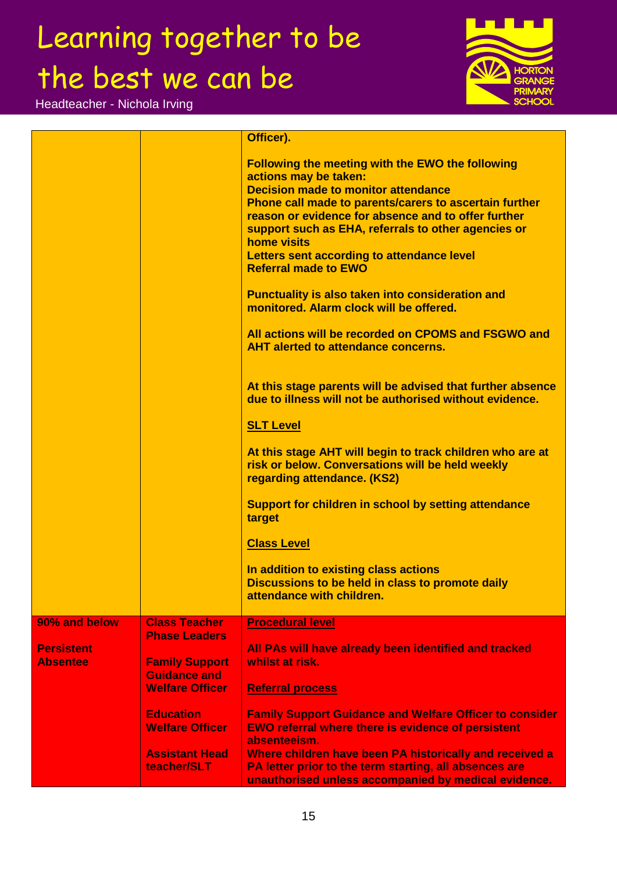Headteacher - Nichola Irving



|                   |                                              | Officer).                                                                                                         |
|-------------------|----------------------------------------------|-------------------------------------------------------------------------------------------------------------------|
|                   |                                              |                                                                                                                   |
|                   |                                              | <b>Following the meeting with the EWO the following</b>                                                           |
|                   |                                              | actions may be taken:                                                                                             |
|                   |                                              | <b>Decision made to monitor attendance</b>                                                                        |
|                   |                                              | Phone call made to parents/carers to ascertain further<br>reason or evidence for absence and to offer further     |
|                   |                                              | support such as EHA, referrals to other agencies or                                                               |
|                   |                                              | <b>home visits</b>                                                                                                |
|                   |                                              | Letters sent according to attendance level                                                                        |
|                   |                                              | <b>Referral made to EWO</b>                                                                                       |
|                   |                                              | <b>Punctuality is also taken into consideration and</b>                                                           |
|                   |                                              | monitored. Alarm clock will be offered.                                                                           |
|                   |                                              |                                                                                                                   |
|                   |                                              | All actions will be recorded on CPOMS and FSGWO and                                                               |
|                   |                                              | <b>AHT alerted to attendance concerns.</b>                                                                        |
|                   |                                              |                                                                                                                   |
|                   |                                              | At this stage parents will be advised that further absence                                                        |
|                   |                                              | due to illness will not be authorised without evidence.                                                           |
|                   |                                              |                                                                                                                   |
|                   |                                              | <b>SLT Level</b>                                                                                                  |
|                   |                                              |                                                                                                                   |
|                   |                                              | At this stage AHT will begin to track children who are at<br>risk or below. Conversations will be held weekly     |
|                   |                                              | regarding attendance. (KS2)                                                                                       |
|                   |                                              |                                                                                                                   |
|                   |                                              | <b>Support for children in school by setting attendance</b>                                                       |
|                   |                                              | target                                                                                                            |
|                   |                                              | <b>Class Level</b>                                                                                                |
|                   |                                              |                                                                                                                   |
|                   |                                              | In addition to existing class actions                                                                             |
|                   |                                              | Discussions to be held in class to promote daily                                                                  |
|                   |                                              | attendance with children.                                                                                         |
| 90% and below     | <b>Class Teacher</b>                         | <b>Procedural level</b>                                                                                           |
|                   | <b>Phase Leaders</b>                         |                                                                                                                   |
| <b>Persistent</b> |                                              | All PAs will have already been identified and tracked                                                             |
| <b>Absentee</b>   | <b>Family Support</b><br><b>Guidance and</b> | whilst at risk.                                                                                                   |
|                   | <b>Welfare Officer</b>                       | <b>Referral process</b>                                                                                           |
|                   |                                              |                                                                                                                   |
|                   | <b>Education</b>                             | <b>Family Support Guidance and Welfare Officer to consider</b>                                                    |
|                   | <b>Welfare Officer</b>                       | <b>EWO referral where there is evidence of persistent</b>                                                         |
|                   |                                              | absenteeism.                                                                                                      |
|                   | <b>Assistant Head</b><br>teacher/SLT         | Where children have been PA historically and received a<br>PA letter prior to the term starting, all absences are |
|                   |                                              | unauthorised unless accompanied by medical evidence.                                                              |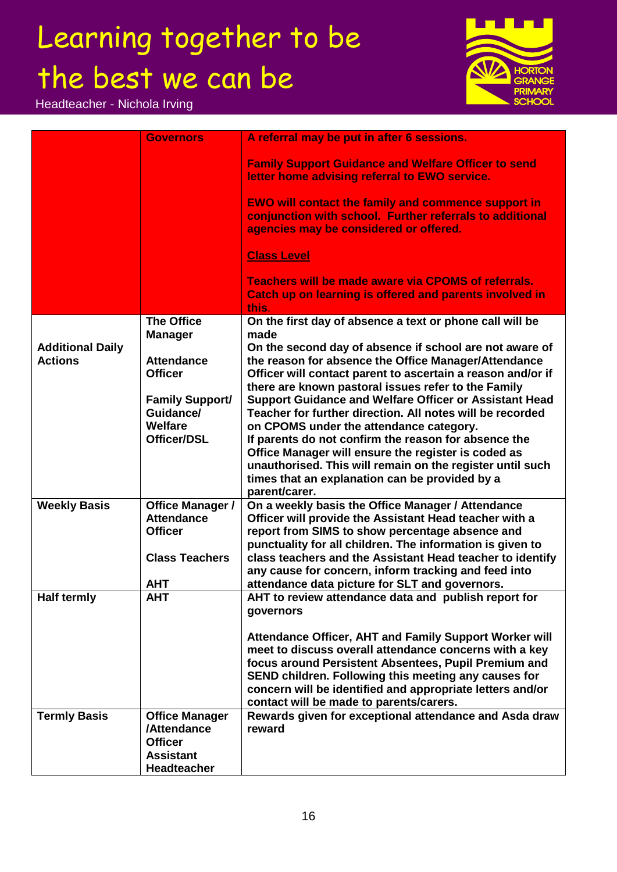Headteacher - Nichola Irving



|                         | <b>Governors</b>                             | A referral may be put in after 6 sessions.                                                                                                                       |
|-------------------------|----------------------------------------------|------------------------------------------------------------------------------------------------------------------------------------------------------------------|
|                         |                                              | <b>Family Support Guidance and Welfare Officer to send</b><br>letter home advising referral to EWO service.                                                      |
|                         |                                              | <b>EWO will contact the family and commence support in</b><br>conjunction with school. Further referrals to additional<br>agencies may be considered or offered. |
|                         |                                              | <b>Class Level</b>                                                                                                                                               |
|                         |                                              | <b>Teachers will be made aware via CPOMS of referrals.</b><br>Catch up on learning is offered and parents involved in<br>this.                                   |
|                         | <b>The Office</b>                            | On the first day of absence a text or phone call will be                                                                                                         |
|                         | <b>Manager</b>                               | made                                                                                                                                                             |
| <b>Additional Daily</b> |                                              | On the second day of absence if school are not aware of                                                                                                          |
| <b>Actions</b>          | <b>Attendance</b><br><b>Officer</b>          | the reason for absence the Office Manager/Attendance                                                                                                             |
|                         |                                              | Officer will contact parent to ascertain a reason and/or if<br>there are known pastoral issues refer to the Family                                               |
|                         | <b>Family Support/</b>                       | <b>Support Guidance and Welfare Officer or Assistant Head</b>                                                                                                    |
|                         | Guidance/                                    | Teacher for further direction. All notes will be recorded                                                                                                        |
|                         | <b>Welfare</b>                               | on CPOMS under the attendance category.                                                                                                                          |
|                         | <b>Officer/DSL</b>                           | If parents do not confirm the reason for absence the                                                                                                             |
|                         |                                              | Office Manager will ensure the register is coded as                                                                                                              |
|                         |                                              | unauthorised. This will remain on the register until such                                                                                                        |
|                         |                                              | times that an explanation can be provided by a                                                                                                                   |
|                         |                                              | parent/carer.                                                                                                                                                    |
| <b>Weekly Basis</b>     | <b>Office Manager /</b><br><b>Attendance</b> | On a weekly basis the Office Manager / Attendance<br>Officer will provide the Assistant Head teacher with a                                                      |
|                         | <b>Officer</b>                               | report from SIMS to show percentage absence and                                                                                                                  |
|                         |                                              | punctuality for all children. The information is given to                                                                                                        |
|                         | <b>Class Teachers</b>                        | class teachers and the Assistant Head teacher to identify                                                                                                        |
|                         |                                              | any cause for concern, inform tracking and feed into                                                                                                             |
|                         | <b>AHT</b>                                   | attendance data picture for SLT and governors.                                                                                                                   |
| <b>Half termly</b>      | <b>AHT</b>                                   | AHT to review attendance data and publish report for                                                                                                             |
|                         |                                              | governors                                                                                                                                                        |
|                         |                                              |                                                                                                                                                                  |
|                         |                                              | Attendance Officer, AHT and Family Support Worker will<br>meet to discuss overall attendance concerns with a key                                                 |
|                         |                                              | focus around Persistent Absentees, Pupil Premium and                                                                                                             |
|                         |                                              | SEND children. Following this meeting any causes for                                                                                                             |
|                         |                                              | concern will be identified and appropriate letters and/or                                                                                                        |
|                         |                                              | contact will be made to parents/carers.                                                                                                                          |
| <b>Termly Basis</b>     | <b>Office Manager</b>                        | Rewards given for exceptional attendance and Asda draw                                                                                                           |
|                         | /Attendance                                  | reward                                                                                                                                                           |
|                         | <b>Officer</b>                               |                                                                                                                                                                  |
|                         | <b>Assistant</b>                             |                                                                                                                                                                  |
|                         | <b>Headteacher</b>                           |                                                                                                                                                                  |